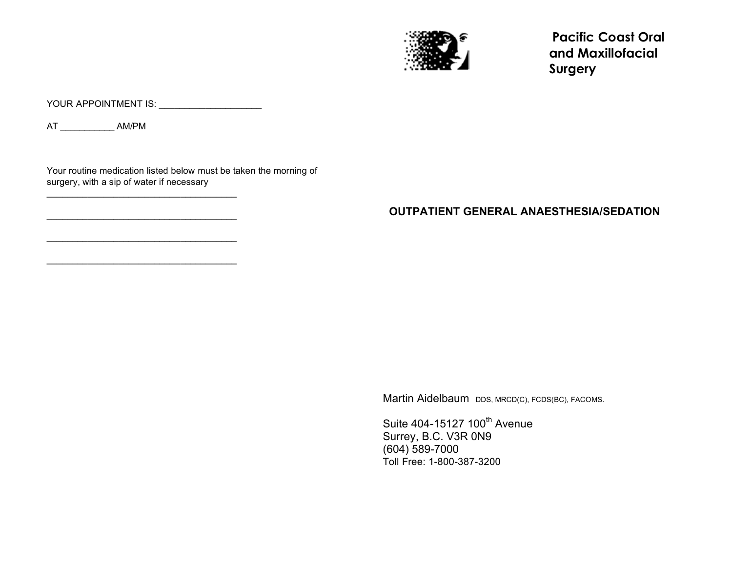

**Pacific Coast Oral and Maxillofacial Surgery** 

YOUR APPOINTMENT IS: \_\_\_\_\_\_\_\_\_\_\_\_\_\_\_\_\_\_\_\_\_

AT \_\_\_\_\_\_\_\_\_\_\_ AM/PM

Your routine medication listed below must be taken the morning of surgery, with a sip of water if necessary

\_\_\_\_\_\_\_\_\_\_\_\_\_\_\_\_\_\_\_\_\_\_\_\_\_\_\_\_\_\_\_\_\_\_\_\_\_

\_\_\_\_\_\_\_\_\_\_\_\_\_\_\_\_\_\_\_\_\_\_\_\_\_\_\_\_\_\_\_\_\_\_\_\_\_

\_\_\_\_\_\_\_\_\_\_\_\_\_\_\_\_\_\_\_\_\_\_\_\_\_\_\_\_\_\_\_\_\_\_\_\_\_

\_\_\_\_\_\_\_\_\_\_\_\_\_\_\_\_\_\_\_\_\_\_\_\_\_\_\_\_\_\_\_\_\_\_\_\_\_

## **OUTPATIENT GENERAL ANAESTHESIA/SEDATION**

Martin Aidelbaum DDS, MRCD(C), FCDS(BC), FACOMS.

Suite 404-15127 100<sup>th</sup> Avenue Surrey, B.C. V3R 0N9 (604) 589-7000 Toll Free: 1-800-387-3200